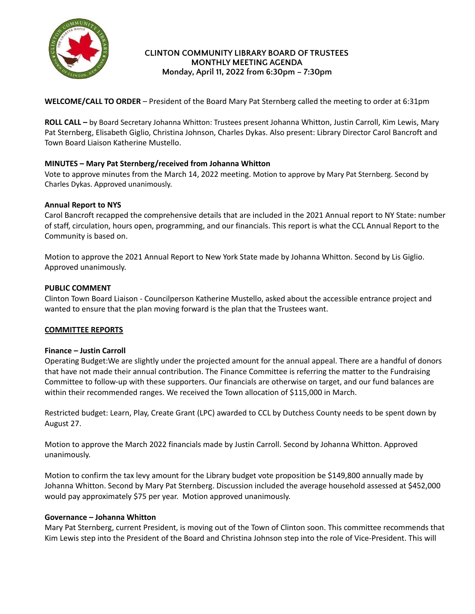

### **CLINTON COMMUNITY LIBRARY BOARD OF TRUSTEES MONTHLY MEETING AGENDA Monday, April 11, 2022 from 6:30pm – 7:30pm**

**WELCOME/CALL TO ORDER** – President of the Board Mary Pat Sternberg called the meeting to order at 6:31pm

**ROLL CALL –** by Board Secretary Johanna Whitton: Trustees present Johanna Whitton, Justin Carroll, Kim Lewis, Mary Pat Sternberg, Elisabeth Giglio, Christina Johnson, Charles Dykas. Also present: Library Director Carol Bancroft and Town Board Liaison Katherine Mustello.

# **MINUTES – Mary Pat Sternberg/received from Johanna Whitton**

Vote to approve minutes from the March 14, 2022 meeting. Motion to approve by Mary Pat Sternberg. Second by Charles Dykas. Approved unanimously.

### **Annual Report to NYS**

Carol Bancroft recapped the comprehensive details that are included in the 2021 Annual report to NY State: number of staff, circulation, hours open, programming, and our financials. This report is what the CCL Annual Report to the Community is based on.

Motion to approve the 2021 Annual Report to New York State made by Johanna Whitton. Second by Lis Giglio. Approved unanimously.

### **PUBLIC COMMENT**

Clinton Town Board Liaison - Councilperson Katherine Mustello, asked about the accessible entrance project and wanted to ensure that the plan moving forward is the plan that the Trustees want.

### **COMMITTEE REPORTS**

### **Finance – Justin Carroll**

Operating Budget:We are slightly under the projected amount for the annual appeal. There are a handful of donors that have not made their annual contribution. The Finance Committee is referring the matter to the Fundraising Committee to follow-up with these supporters. Our financials are otherwise on target, and our fund balances are within their recommended ranges. We received the Town allocation of \$115,000 in March.

Restricted budget: Learn, Play, Create Grant (LPC) awarded to CCL by Dutchess County needs to be spent down by August 27.

Motion to approve the March 2022 financials made by Justin Carroll. Second by Johanna Whitton. Approved unanimously.

Motion to confirm the tax levy amount for the Library budget vote proposition be \$149,800 annually made by Johanna Whitton. Second by Mary Pat Sternberg. Discussion included the average household assessed at \$452,000 would pay approximately \$75 per year. Motion approved unanimously.

### **Governance – Johanna Whitton**

Mary Pat Sternberg, current President, is moving out of the Town of Clinton soon. This committee recommends that Kim Lewis step into the President of the Board and Christina Johnson step into the role of Vice-President. This will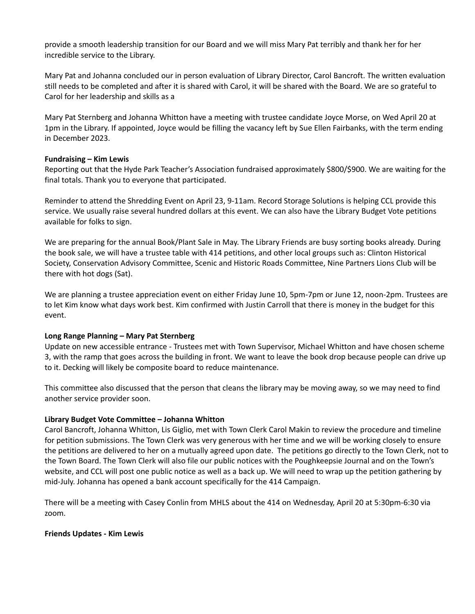provide a smooth leadership transition for our Board and we will miss Mary Pat terribly and thank her for her incredible service to the Library.

Mary Pat and Johanna concluded our in person evaluation of Library Director, Carol Bancroft. The written evaluation still needs to be completed and after it is shared with Carol, it will be shared with the Board. We are so grateful to Carol for her leadership and skills as a

Mary Pat Sternberg and Johanna Whitton have a meeting with trustee candidate Joyce Morse, on Wed April 20 at 1pm in the Library. If appointed, Joyce would be filling the vacancy left by Sue Ellen Fairbanks, with the term ending in December 2023.

### **Fundraising – Kim Lewis**

Reporting out that the Hyde Park Teacher's Association fundraised approximately \$800/\$900. We are waiting for the final totals. Thank you to everyone that participated.

Reminder to attend the Shredding Event on April 23, 9-11am. Record Storage Solutions is helping CCL provide this service. We usually raise several hundred dollars at this event. We can also have the Library Budget Vote petitions available for folks to sign.

We are preparing for the annual Book/Plant Sale in May. The Library Friends are busy sorting books already. During the book sale, we will have a trustee table with 414 petitions, and other local groups such as: Clinton Historical Society, Conservation Advisory Committee, Scenic and Historic Roads Committee, Nine Partners Lions Club will be there with hot dogs (Sat).

We are planning a trustee appreciation event on either Friday June 10, 5pm-7pm or June 12, noon-2pm. Trustees are to let Kim know what days work best. Kim confirmed with Justin Carroll that there is money in the budget for this event.

### **Long Range Planning – Mary Pat Sternberg**

Update on new accessible entrance - Trustees met with Town Supervisor, Michael Whitton and have chosen scheme 3, with the ramp that goes across the building in front. We want to leave the book drop because people can drive up to it. Decking will likely be composite board to reduce maintenance.

This committee also discussed that the person that cleans the library may be moving away, so we may need to find another service provider soon.

### **Library Budget Vote Committee – Johanna Whitton**

Carol Bancroft, Johanna Whitton, Lis Giglio, met with Town Clerk Carol Makin to review the procedure and timeline for petition submissions. The Town Clerk was very generous with her time and we will be working closely to ensure the petitions are delivered to her on a mutually agreed upon date. The petitions go directly to the Town Clerk, not to the Town Board. The Town Clerk will also file our public notices with the Poughkeepsie Journal and on the Town's website, and CCL will post one public notice as well as a back up. We will need to wrap up the petition gathering by mid-July. Johanna has opened a bank account specifically for the 414 Campaign.

There will be a meeting with Casey Conlin from MHLS about the 414 on Wednesday, April 20 at 5:30pm-6:30 via zoom.

#### **Friends Updates - Kim Lewis**